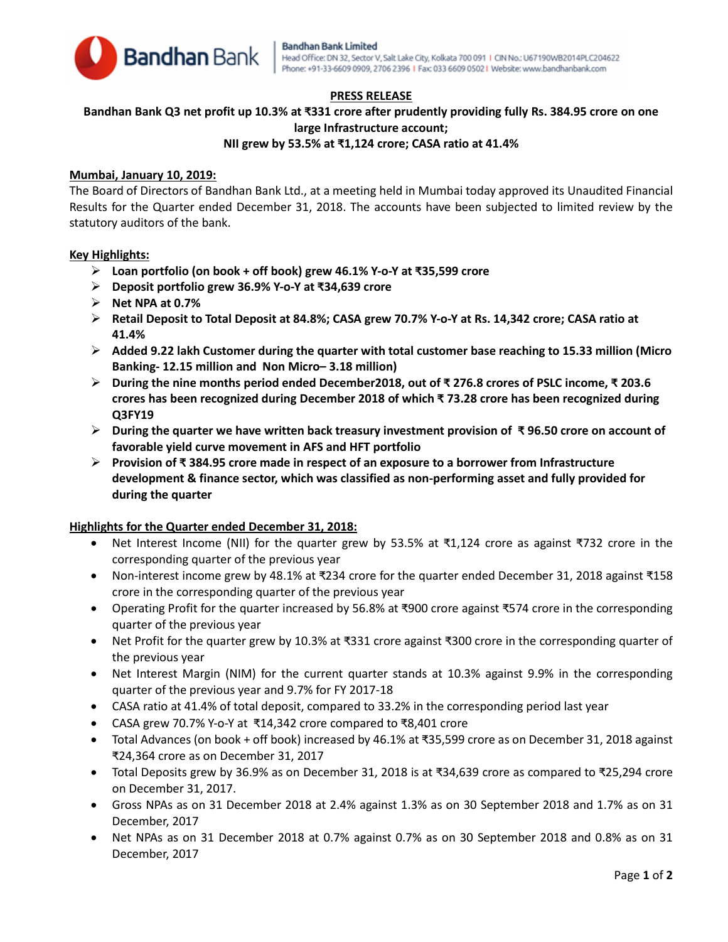

# **PRESS RELEASE**

# **Bandhan Bank Q3 net profit up 10.3% at ₹331 crore after prudently providing fully Rs. 384.95 crore on one large Infrastructure account;**

# **NII grew by 53.5% at ₹1,124 crore; CASA ratio at 41.4%**

# **Mumbai, January 10, 2019:**

The Board of Directors of Bandhan Bank Ltd., at a meeting held in Mumbai today approved its Unaudited Financial Results for the Quarter ended December 31, 2018. The accounts have been subjected to limited review by the statutory auditors of the bank.

### **Key Highlights:**

- **Loan portfolio (on book + off book) grew 46.1% Y-o-Y at ₹35,599 crore**
- **Deposit portfolio grew 36.9% Y-o-Y at ₹34,639 crore**
- **Net NPA at 0.7%**
- **Retail Deposit to Total Deposit at 84.8%; CASA grew 70.7% Y-o-Y at Rs. 14,342 crore; CASA ratio at 41.4%**
- **Added 9.22 lakh Customer during the quarter with total customer base reaching to 15.33 million (Micro Banking- 12.15 million and Non Micro– 3.18 million)**
- **During the nine months period ended December2018, out of ₹ 276.8 crores of PSLC income, ₹ 203.6 crores has been recognized during December 2018 of which ₹ 73.28 crore has been recognized during Q3FY19**
- **During the quarter we have written back treasury investment provision of ₹ 96.50 crore on account of favorable yield curve movement in AFS and HFT portfolio**
- **Provision of ₹ 384.95 crore made in respect of an exposure to a borrower from Infrastructure development & finance sector, which was classified as non-performing asset and fully provided for during the quarter**

# **Highlights for the Quarter ended December 31, 2018:**

- Net Interest Income (NII) for the quarter grew by 53.5% at ₹1,124 crore as against ₹732 crore in the corresponding quarter of the previous year
- Non-interest income grew by 48.1% at ₹234 crore for the quarter ended December 31, 2018 against ₹158 crore in the corresponding quarter of the previous year
- Operating Profit for the quarter increased by 56.8% at ₹900 crore against ₹574 crore in the corresponding quarter of the previous year
- Net Profit for the quarter grew by 10.3% at ₹331 crore against ₹300 crore in the corresponding quarter of the previous year
- Net Interest Margin (NIM) for the current quarter stands at 10.3% against 9.9% in the corresponding quarter of the previous year and 9.7% for FY 2017-18
- CASA ratio at 41.4% of total deposit, compared to 33.2% in the corresponding period last year
- CASA grew 70.7% Y-o-Y at ₹14,342 crore compared to ₹8,401 crore
- Total Advances (on book + off book) increased by 46.1% at ₹35,599 crore as on December 31, 2018 against ₹24,364 crore as on December 31, 2017
- Total Deposits grew by 36.9% as on December 31, 2018 is at ₹34,639 crore as compared to ₹25,294 crore on December 31, 2017.
- Gross NPAs as on 31 December 2018 at 2.4% against 1.3% as on 30 September 2018 and 1.7% as on 31 December, 2017
- Net NPAs as on 31 December 2018 at 0.7% against 0.7% as on 30 September 2018 and 0.8% as on 31 December, 2017